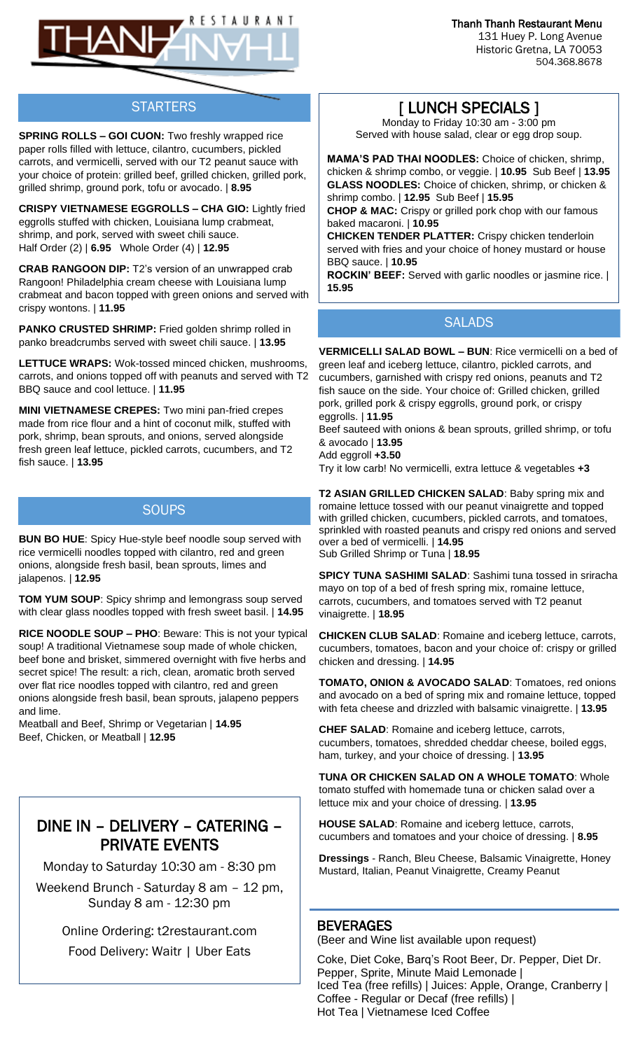Thanh Thanh Restaurant Menu

131 Huey P. Long Avenue Historic Gretna, LA 70053 504.368.8678



## **STARTERS**

**SPRING ROLLS – GOI CUON:** Two freshly wrapped rice paper rolls filled with lettuce, cilantro, cucumbers, pickled carrots, and vermicelli, served with our T2 peanut sauce with your choice of protein: grilled beef, grilled chicken, grilled pork, grilled shrimp, ground pork, tofu or avocado. | **8.95**

**CRISPY VIETNAMESE EGGROLLS – CHA GIO:** Lightly fried eggrolls stuffed with chicken, Louisiana lump crabmeat, shrimp, and pork, served with sweet chili sauce. Half Order (2) | **6.95** Whole Order (4) | **12.95**

**CRAB RANGOON DIP:** T2's version of an unwrapped crab Rangoon! Philadelphia cream cheese with Louisiana lump crabmeat and bacon topped with green onions and served with crispy wontons. | **11.95**

**PANKO CRUSTED SHRIMP:** Fried golden shrimp rolled in panko breadcrumbs served with sweet chili sauce. | **13.95** 

**LETTUCE WRAPS:** Wok-tossed minced chicken, mushrooms, carrots, and onions topped off with peanuts and served with T2 BBQ sauce and cool lettuce. | **11.95**

**MINI VIETNAMESE CREPES:** Two mini pan-fried crepes made from rice flour and a hint of coconut milk, stuffed with pork, shrimp, bean sprouts, and onions, served alongside fresh green leaf lettuce, pickled carrots, cucumbers, and T2 fish sauce. | **13.95**

### **SOUPS**

**BUN BO HUE**: Spicy Hue-style beef noodle soup served with rice vermicelli noodles topped with cilantro, red and green onions, alongside fresh basil, bean sprouts, limes and jalapenos. | **12.95**

**TOM YUM SOUP**: Spicy shrimp and lemongrass soup served with clear glass noodles topped with fresh sweet basil. | **14.95**

**RICE NOODLE SOUP – PHO**: Beware: This is not your typical soup! A traditional Vietnamese soup made of whole chicken, beef bone and brisket, simmered overnight with five herbs and secret spice! The result: a rich, clean, aromatic broth served over flat rice noodles topped with cilantro, red and green onions alongside fresh basil, bean sprouts, jalapeno peppers and lime.

Meatball and Beef, Shrimp or Vegetarian | **14.95**  Beef, Chicken, or Meatball | **12.95**

# DINE IN – DELIVERY – CATERING – PRIVATE EVENTS

Monday to Saturday 10:30 am - 8:30 pm

Weekend Brunch - Saturday 8 am – 12 pm, Sunday 8 am - 12:30 pm

> Online Ordering: t2restaurant.com Food Delivery: Waitr | Uber Eats

## [ LUNCH SPECIALS ]

Monday to Friday 10:30 am - 3:00 pm Served with house salad, clear or egg drop soup.

**MAMA'S PAD THAI NOODLES:** Choice of chicken, shrimp, chicken & shrimp combo, or veggie. | **10.95** Sub Beef | **13.95 GLASS NOODLES:** Choice of chicken, shrimp, or chicken & shrimp combo. | **12.95** Sub Beef | **15.95**

**CHOP & MAC:** Crispy or grilled pork chop with our famous baked macaroni. | **10.95**

**CHICKEN TENDER PLATTER:** Crispy chicken tenderloin served with fries and your choice of honey mustard or house BBQ sauce. | **10.95**

**ROCKIN' BEEF:** Served with garlic noodles or jasmine rice. | **15.95**

### SAI ADS

**VERMICELLI SALAD BOWL – BUN**: Rice vermicelli on a bed of green leaf and iceberg lettuce, cilantro, pickled carrots, and cucumbers, garnished with crispy red onions, peanuts and T2 fish sauce on the side. Your choice of: Grilled chicken, grilled pork, grilled pork & crispy eggrolls, ground pork, or crispy eggrolls. | **11.95**

Beef sauteed with onions & bean sprouts, grilled shrimp, or tofu & avocado | **13.95**

Add eggroll **+3.50**

Try it low carb! No vermicelli, extra lettuce & vegetables **+3**

**T2 ASIAN GRILLED CHICKEN SALAD**: Baby spring mix and romaine lettuce tossed with our peanut vinaigrette and topped with grilled chicken, cucumbers, pickled carrots, and tomatoes, sprinkled with roasted peanuts and crispy red onions and served over a bed of vermicelli. | **14.95** Sub Grilled Shrimp or Tuna | **18.95**

**SPICY TUNA SASHIMI SALAD**: Sashimi tuna tossed in sriracha mayo on top of a bed of fresh spring mix, romaine lettuce, carrots, cucumbers, and tomatoes served with T2 peanut vinaigrette. | **18.95**

**CHICKEN CLUB SALAD**: Romaine and iceberg lettuce, carrots, cucumbers, tomatoes, bacon and your choice of: crispy or grilled chicken and dressing. | **14.95**

**TOMATO, ONION & AVOCADO SALAD**: Tomatoes, red onions and avocado on a bed of spring mix and romaine lettuce, topped with feta cheese and drizzled with balsamic vinaigrette. | **13.95**

**CHEF SALAD**: Romaine and iceberg lettuce, carrots, cucumbers, tomatoes, shredded cheddar cheese, boiled eggs, ham, turkey, and your choice of dressing. | **13.95**

**TUNA OR CHICKEN SALAD ON A WHOLE TOMATO**: Whole tomato stuffed with homemade tuna or chicken salad over a lettuce mix and your choice of dressing. | **13.95**

**HOUSE SALAD**: Romaine and iceberg lettuce, carrots, cucumbers and tomatoes and your choice of dressing. | **8.95**

**Dressings** - Ranch, Bleu Cheese, Balsamic Vinaigrette, Honey Mustard, Italian, Peanut Vinaigrette, Creamy Peanut

### **BEVERAGES**

(Beer and Wine list available upon request)

Coke, Diet Coke, Barq's Root Beer, Dr. Pepper, Diet Dr. Pepper, Sprite, Minute Maid Lemonade | Iced Tea (free refills) | Juices: Apple, Orange, Cranberry | Coffee - Regular or Decaf (free refills) | Hot Tea | Vietnamese Iced Coffee